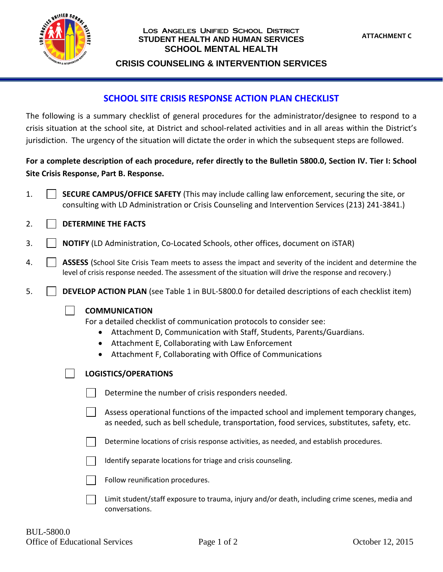

#### Los Angeles Unified School District **STUDENT HEALTH AND HUMAN SERVICES SCHOOL MENTAL HEALTH**

### **CRISIS COUNSELING & INTERVENTION SERVICES**

## **SCHOOL SITE CRISIS RESPONSE ACTION PLAN CHECKLIST**

The following is a summary checklist of general procedures for the administrator/designee to respond to a crisis situation at the school site, at District and school-related activities and in all areas within the District's jurisdiction. The urgency of the situation will dictate the order in which the subsequent steps are followed.

# **For a complete description of each procedure, refer directly to the Bulletin 5800.0, Section IV. Tier I: School Site Crisis Response, Part B. Response.**

1. **SECURE CAMPUS/OFFICE SAFETY** (This may include calling law enforcement, securing the site, or consulting with LD Administration or Crisis Counseling and Intervention Services (213) 241-3841.)

## 2. **DETERMINE THE FACTS**

- 3. **NOTIFY** (LD Administration, Co-Located Schools, other offices, document on iSTAR)
- 4. **ASSESS** (School Site Crisis Team meets to assess the impact and severity of the incident and determine the level of crisis response needed. The assessment of the situation will drive the response and recovery.)
- 5. **DEVELOP ACTION PLAN** (see Table 1 in BUL-5800.0 for detailed descriptions of each checklist item)

### **COMMUNICATION**

For a detailed checklist of communication protocols to consider see:

- Attachment D, Communication with Staff, Students, Parents/Guardians.
- Attachment E, Collaborating with Law Enforcement
- Attachment F, Collaborating with Office of Communications

|  | LOGISTICS/OPERATIONS |  |  |
|--|----------------------|--|--|
|--|----------------------|--|--|

|  | Determine the number of crisis responders needed. |  |  |  |  |
|--|---------------------------------------------------|--|--|--|--|
|--|---------------------------------------------------|--|--|--|--|

Assess operational functions of the impacted school and implement temporary changes, as needed, such as bell schedule, transportation, food services, substitutes, safety, etc.

Determine locations of crisis response activities, as needed, and establish procedures.

Identify separate locations for triage and crisis counseling.

Follow reunification procedures.

Limit student/staff exposure to trauma, injury and/or death, including crime scenes, media and conversations.